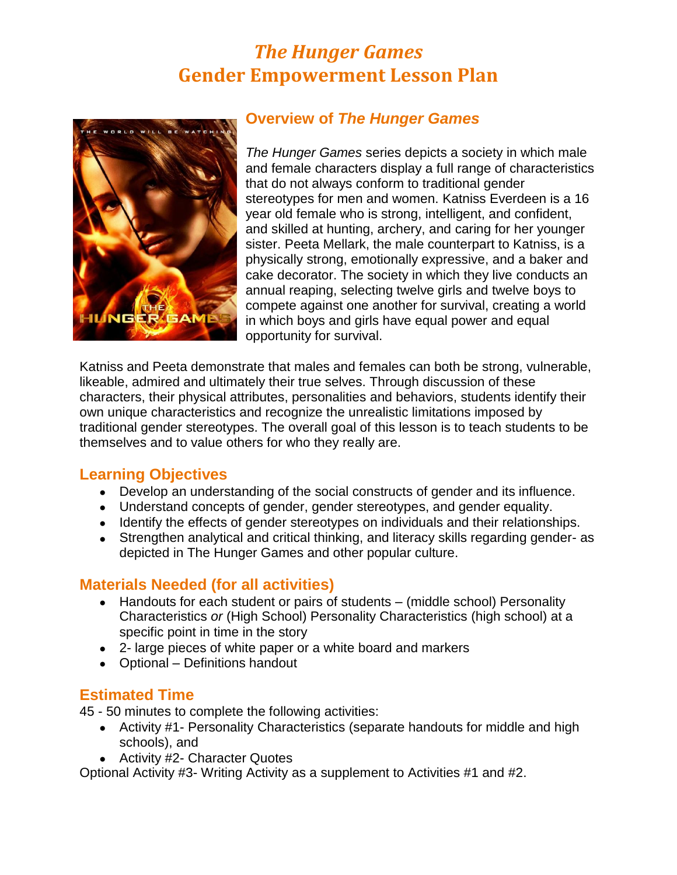# *The Hunger Games* **Gender Empowerment Lesson Plan**



## **Overview of** *The Hunger Games*

*The Hunger Games* series depicts a society in which male and female characters display a full range of characteristics that do not always conform to traditional gender stereotypes for men and women. Katniss Everdeen is a 16 year old female who is strong, intelligent, and confident, and skilled at hunting, archery, and caring for her younger sister. Peeta Mellark, the male counterpart to Katniss, is a physically strong, emotionally expressive, and a baker and cake decorator. The society in which they live conducts an annual reaping, selecting twelve girls and twelve boys to compete against one another for survival, creating a world in which boys and girls have equal power and equal opportunity for survival.

Katniss and Peeta demonstrate that males and females can both be strong, vulnerable, likeable, admired and ultimately their true selves. Through discussion of these characters, their physical attributes, personalities and behaviors, students identify their own unique characteristics and recognize the unrealistic limitations imposed by traditional gender stereotypes. The overall goal of this lesson is to teach students to be themselves and to value others for who they really are.

### **Learning Objectives**

- Develop an understanding of the social constructs of gender and its influence.
- Understand concepts of gender, gender stereotypes, and gender equality.
- Identify the effects of gender stereotypes on individuals and their relationships.
- Strengthen analytical and critical thinking, and literacy skills regarding gender- as depicted in The Hunger Games and other popular culture.

### **Materials Needed (for all activities)**

- Handouts for each student or pairs of students (middle school) Personality Characteristics *or* (High School) Personality Characteristics (high school) at a specific point in time in the story
- 2- large pieces of white paper or a white board and markers
- Optional Definitions handout

### **Estimated Time**

45 - 50 minutes to complete the following activities:

- Activity #1- Personality Characteristics (separate handouts for middle and high schools), and
- Activity #2- Character Quotes

Optional Activity #3- Writing Activity as a supplement to Activities #1 and #2.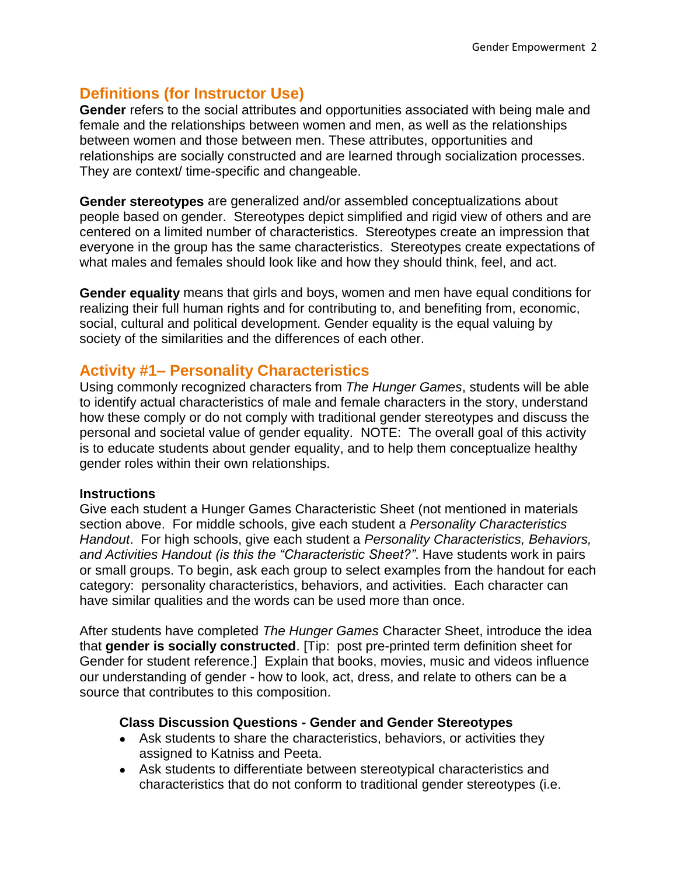## **Definitions (for Instructor Use)**

**Gender** refers to the social attributes and opportunities associated with being male and female and the relationships between women and men, as well as the relationships between women and those between men. These attributes, opportunities and relationships are socially constructed and are learned through socialization processes. They are context/ time-specific and changeable.

**Gender stereotypes** are generalized and/or assembled conceptualizations about people based on gender. Stereotypes depict simplified and rigid view of others and are centered on a limited number of characteristics. Stereotypes create an impression that everyone in the group has the same characteristics. Stereotypes create expectations of what males and females should look like and how they should think, feel, and act.

**Gender equality** means that girls and boys, women and men have equal conditions for realizing their full human rights and for contributing to, and benefiting from, economic, social, cultural and political development. Gender equality is the equal valuing by society of the similarities and the differences of each other.

## **Activity #1– Personality Characteristics**

Using commonly recognized characters from *The Hunger Games*, students will be able to identify actual characteristics of male and female characters in the story, understand how these comply or do not comply with traditional gender stereotypes and discuss the personal and societal value of gender equality. NOTE: The overall goal of this activity is to educate students about gender equality, and to help them conceptualize healthy gender roles within their own relationships.

#### **Instructions**

Give each student a Hunger Games Characteristic Sheet (not mentioned in materials section above. For middle schools, give each student a *Personality Characteristics Handout*. For high schools, give each student a *Personality Characteristics, Behaviors, and Activities Handout (is this the "Characteristic Sheet?"*. Have students work in pairs or small groups. To begin, ask each group to select examples from the handout for each category: personality characteristics, behaviors, and activities. Each character can have similar qualities and the words can be used more than once.

After students have completed *The Hunger Games* Character Sheet, introduce the idea that **gender is socially constructed**. [Tip: post pre-printed term definition sheet for Gender for student reference.] Explain that books, movies, music and videos influence our understanding of gender - how to look, act, dress, and relate to others can be a source that contributes to this composition.

#### **Class Discussion Questions - Gender and Gender Stereotypes**

- Ask students to share the characteristics, behaviors, or activities they assigned to Katniss and Peeta.
- Ask students to differentiate between stereotypical characteristics and characteristics that do not conform to traditional gender stereotypes (i.e.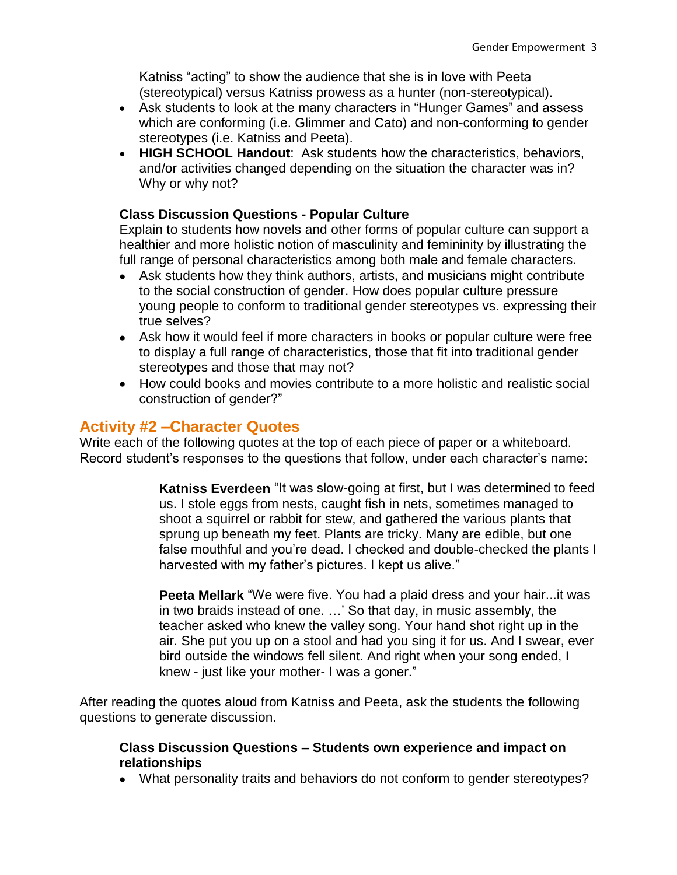Katniss "acting" to show the audience that she is in love with Peeta (stereotypical) versus Katniss prowess as a hunter (non-stereotypical).

- Ask students to look at the many characters in "Hunger Games" and assess which are conforming (i.e. Glimmer and Cato) and non-conforming to gender stereotypes (i.e. Katniss and Peeta).
- **HIGH SCHOOL Handout**: Ask students how the characteristics, behaviors, and/or activities changed depending on the situation the character was in? Why or why not?

#### **Class Discussion Questions - Popular Culture**

Explain to students how novels and other forms of popular culture can support a healthier and more holistic notion of masculinity and femininity by illustrating the full range of personal characteristics among both male and female characters.

- Ask students how they think authors, artists, and musicians might contribute to the social construction of gender. How does popular culture pressure young people to conform to traditional gender stereotypes vs. expressing their true selves?
- Ask how it would feel if more characters in books or popular culture were free to display a full range of characteristics, those that fit into traditional gender stereotypes and those that may not?
- How could books and movies contribute to a more holistic and realistic social construction of gender?"

### **Activity #2 –Character Quotes**

Write each of the following quotes at the top of each piece of paper or a whiteboard. Record student's responses to the questions that follow, under each character's name:

> **Katniss Everdeen** "It was slow-going at first, but I was determined to feed us. I stole eggs from nests, caught fish in nets, sometimes managed to shoot a squirrel or rabbit for stew, and gathered the various plants that sprung up beneath my feet. Plants are tricky. Many are edible, but one false mouthful and you're dead. I checked and double-checked the plants I harvested with my father's pictures. I kept us alive."

> **Peeta Mellark** "We were five. You had a plaid dress and your hair...it was in two braids instead of one. …' So that day, in music assembly, the teacher asked who knew the valley song. Your hand shot right up in the air. She put you up on a stool and had you sing it for us. And I swear, ever bird outside the windows fell silent. And right when your song ended, I knew - just like your mother- I was a goner."

After reading the quotes aloud from Katniss and Peeta, ask the students the following questions to generate discussion.

#### **Class Discussion Questions – Students own experience and impact on relationships**

What personality traits and behaviors do not conform to gender stereotypes?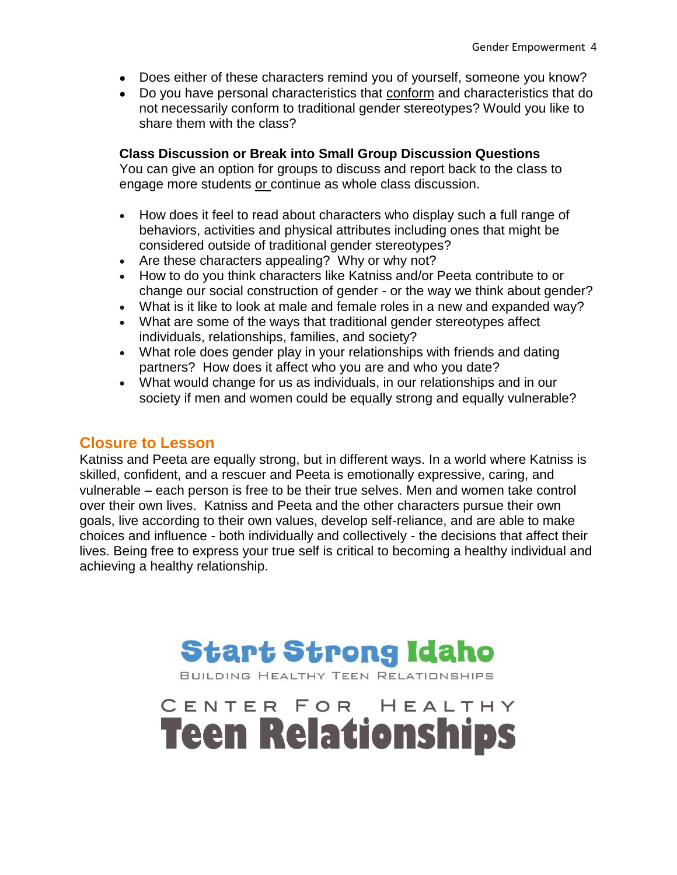- Does either of these characters remind you of yourself, someone you know?
- Do you have personal characteristics that conform and characteristics that do not necessarily conform to traditional gender stereotypes? Would you like to share them with the class?

#### **Class Discussion or Break into Small Group Discussion Questions**

You can give an option for groups to discuss and report back to the class to engage more students or continue as whole class discussion.

- How does it feel to read about characters who display such a full range of behaviors, activities and physical attributes including ones that might be considered outside of traditional gender stereotypes?
- Are these characters appealing? Why or why not?
- How to do you think characters like Katniss and/or Peeta contribute to or change our social construction of gender - or the way we think about gender?
- What is it like to look at male and female roles in a new and expanded way?
- What are some of the ways that traditional gender stereotypes affect individuals, relationships, families, and society?
- What role does gender play in your relationships with friends and dating partners? How does it affect who you are and who you date?
- What would change for us as individuals, in our relationships and in our society if men and women could be equally strong and equally vulnerable?

## **Closure to Lesson**

Katniss and Peeta are equally strong, but in different ways. In a world where Katniss is skilled, confident, and a rescuer and Peeta is emotionally expressive, caring, and vulnerable – each person is free to be their true selves. Men and women take control over their own lives. Katniss and Peeta and the other characters pursue their own goals, live according to their own values, develop self-reliance, and are able to make choices and influence - both individually and collectively - the decisions that affect their lives. Being free to express your true self is critical to becoming a healthy individual and achieving a healthy relationship.



**Teen Relationships** 

HEALTHY

CENTER FOR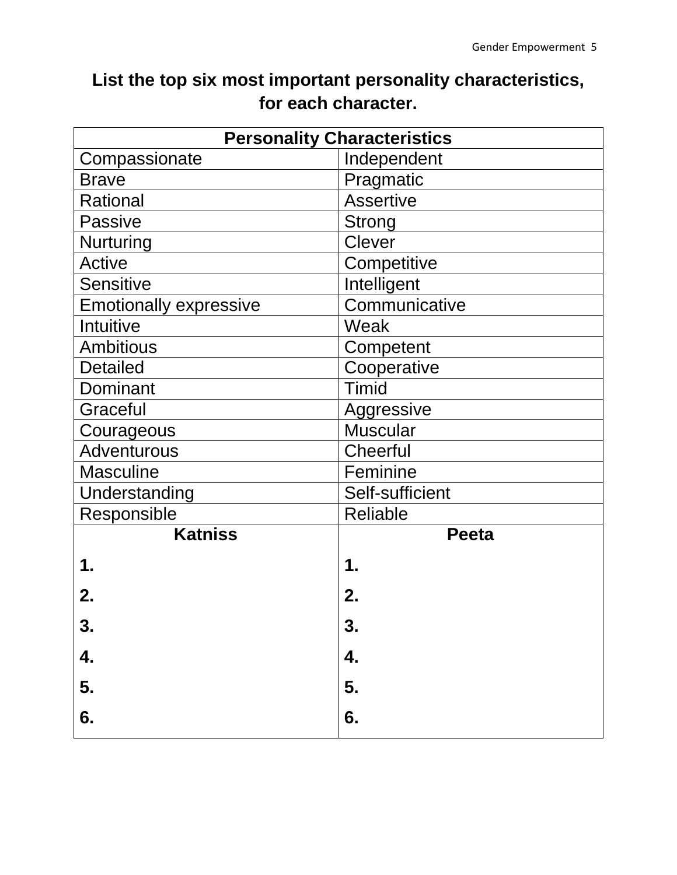# **List the top six most important personality characteristics, for each character.**

| <b>Personality Characteristics</b> |                  |  |  |  |  |
|------------------------------------|------------------|--|--|--|--|
| Compassionate                      | Independent      |  |  |  |  |
| <b>Brave</b>                       | Pragmatic        |  |  |  |  |
| Rational                           | <b>Assertive</b> |  |  |  |  |
| <b>Passive</b>                     | Strong           |  |  |  |  |
| <b>Nurturing</b>                   | <b>Clever</b>    |  |  |  |  |
| <b>Active</b>                      | Competitive      |  |  |  |  |
| <b>Sensitive</b>                   | Intelligent      |  |  |  |  |
| <b>Emotionally expressive</b>      | Communicative    |  |  |  |  |
| Intuitive                          | Weak             |  |  |  |  |
| <b>Ambitious</b>                   | Competent        |  |  |  |  |
| <b>Detailed</b>                    | Cooperative      |  |  |  |  |
| Dominant                           | <b>Timid</b>     |  |  |  |  |
| Graceful                           | Aggressive       |  |  |  |  |
| Courageous                         | <b>Muscular</b>  |  |  |  |  |
| Adventurous                        | Cheerful         |  |  |  |  |
| <b>Masculine</b>                   | Feminine         |  |  |  |  |
| Understanding                      | Self-sufficient  |  |  |  |  |
| Responsible                        | <b>Reliable</b>  |  |  |  |  |
| <b>Katniss</b>                     | <b>Peeta</b>     |  |  |  |  |
| 1.                                 | 1.               |  |  |  |  |
| 2.                                 | 2.               |  |  |  |  |
| 3.                                 | 3.               |  |  |  |  |
| 4.                                 | 4.               |  |  |  |  |
| 5.                                 | 5.               |  |  |  |  |
| 6.                                 | 6.               |  |  |  |  |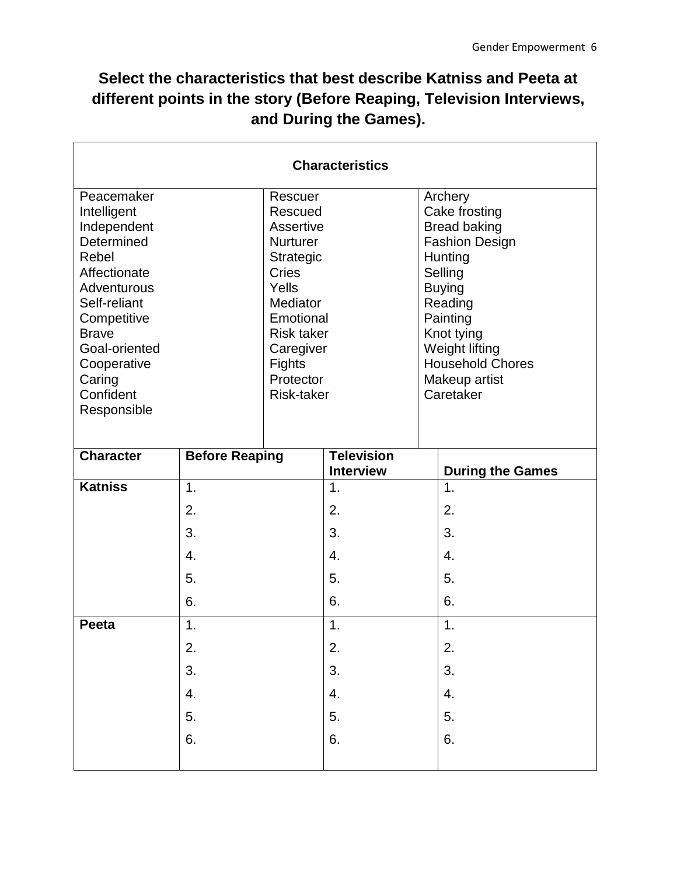## **Select the characteristics that best describe Katniss and Peeta at different points in the story (Before Reaping, Television Interviews, and During the Games).**

| <b>Characteristics</b>      |                                |    |                   |    |                              |  |  |
|-----------------------------|--------------------------------|----|-------------------|----|------------------------------|--|--|
| Peacemaker                  | Rescuer                        |    |                   |    | Archery                      |  |  |
| Intelligent                 | Rescued                        |    |                   |    | Cake frosting                |  |  |
| Independent                 | Assertive                      |    |                   |    | <b>Bread baking</b>          |  |  |
| Determined                  | <b>Nurturer</b>                |    |                   |    | <b>Fashion Design</b>        |  |  |
| Rebel                       | Strategic                      |    |                   |    | Hunting                      |  |  |
| Affectionate                | Cries                          |    |                   |    | Selling                      |  |  |
| Adventurous                 | Yells                          |    |                   |    | <b>Buying</b>                |  |  |
| Self-reliant                | Mediator                       |    |                   |    | Reading                      |  |  |
| Competitive<br><b>Brave</b> | Emotional                      |    |                   |    | Painting                     |  |  |
| Goal-oriented               | <b>Risk taker</b><br>Caregiver |    |                   |    | Knot tying<br>Weight lifting |  |  |
| Cooperative                 | <b>Fights</b>                  |    |                   |    | <b>Household Chores</b>      |  |  |
| Caring                      | Protector                      |    |                   |    | Makeup artist                |  |  |
| Confident                   | Risk-taker                     |    |                   |    | Caretaker                    |  |  |
| Responsible                 |                                |    |                   |    |                              |  |  |
|                             |                                |    |                   |    |                              |  |  |
|                             |                                |    |                   |    |                              |  |  |
| <b>Character</b>            | <b>Before Reaping</b>          |    | <b>Television</b> |    |                              |  |  |
|                             |                                |    | <b>Interview</b>  |    | <b>During the Games</b>      |  |  |
| <b>Katniss</b>              | $\mathbf{1}$ .                 |    | 1.                |    | 1.                           |  |  |
|                             | 2.                             |    | 2.                |    | 2.                           |  |  |
|                             | 3.                             |    | 3.                |    | 3.                           |  |  |
| 4.                          |                                |    | 4.                |    | $\overline{4}$ .             |  |  |
| 5.                          |                                | 5. |                   | 5. |                              |  |  |
| 6.                          |                                | 6. |                   | 6. |                              |  |  |
| Peeta                       | 1.                             |    | 1.                |    | 1.                           |  |  |
| 2.                          |                                | 2. |                   | 2. |                              |  |  |
| 3.                          |                                | 3. |                   | 3. |                              |  |  |
| $\overline{4}$ .            |                                | 4. |                   | 4. |                              |  |  |
| 5.                          |                                | 5. |                   | 5. |                              |  |  |
| 6.                          |                                | 6. |                   | 6. |                              |  |  |
|                             |                                |    |                   |    |                              |  |  |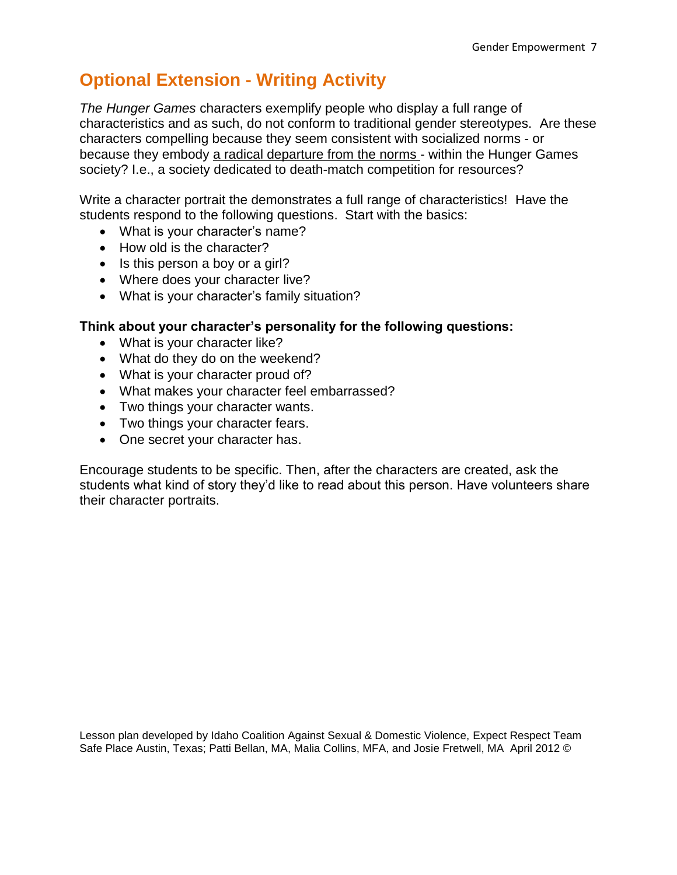# **Optional Extension - Writing Activity**

*The Hunger Games* characters exemplify people who display a full range of characteristics and as such, do not conform to traditional gender stereotypes. Are these characters compelling because they seem consistent with socialized norms - or because they embody a radical departure from the norms - within the Hunger Games society? I.e., a society dedicated to death-match competition for resources?

Write a character portrait the demonstrates a full range of characteristics! Have the students respond to the following questions. Start with the basics:

- What is your character's name?
- How old is the character?
- $\bullet$  Is this person a boy or a girl?
- Where does your character live?
- What is your character's family situation?

#### **Think about your character's personality for the following questions:**

- What is your character like?
- What do they do on the weekend?
- What is your character proud of?
- What makes your character feel embarrassed?
- Two things your character wants.
- Two things your character fears.
- One secret your character has.

Encourage students to be specific. Then, after the characters are created, ask the students what kind of story they'd like to read about this person. Have volunteers share their character portraits.

Lesson plan developed by Idaho Coalition Against Sexual & Domestic Violence, Expect Respect Team Safe Place Austin, Texas; Patti Bellan, MA, Malia Collins, MFA, and Josie Fretwell, MA April 2012 ©